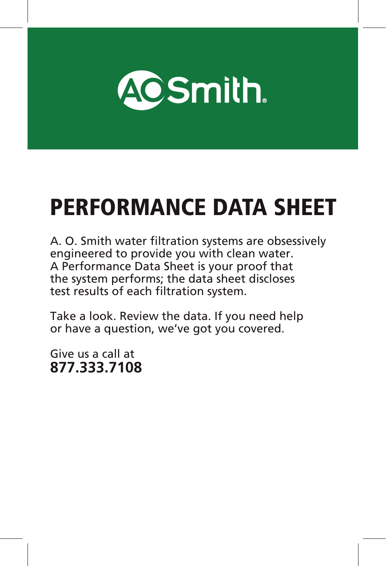

# PERFORMANCE DATA SHEET

A. O. Smith water filtration systems are obsessively engineered to provide you with clean water. A Performance Data Sheet is your proof that the system performs; the data sheet discloses test results of each filtration system.

Take a look. Review the data. If you need help or have a question, we've got you covered.

Give us a call at **877.333.7108**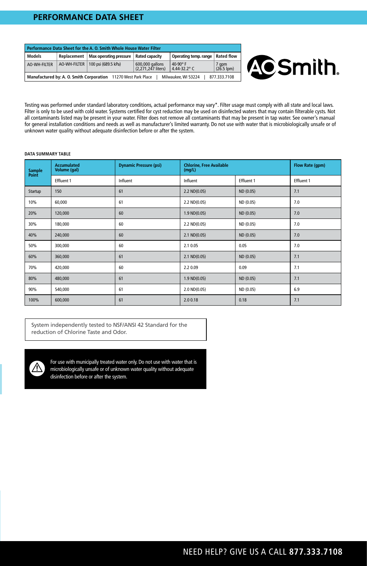## **PERFORMANCE DATA SHEET**

| Performance Data Sheet for the A. O. Smith Whole House Water Filter                                   |             |                                    |                                       |                                            |                     |
|-------------------------------------------------------------------------------------------------------|-------------|------------------------------------|---------------------------------------|--------------------------------------------|---------------------|
| Models                                                                                                | Replacement | Max operating pressure             | <b>Rated capacity</b>                 | Operating temp. range                      | <b>Rated flow</b>   |
| AO-WH-FILTER                                                                                          |             | AO-WH-FILTER   100 psi (689.5 kPa) | 600,000 gallons<br>(2.271.247 liters) | 40-90 $\degree$ F<br>4.44-32.2 $\degree$ C | 7 gpm<br>(26.5 lpm) |
| Manufactured by: A. O. Smith Corporation 11270 West Park Place<br>Milwaukee, WI 53224<br>877.333.7108 |             |                                    |                                       |                                            |                     |



Testing was performed under standard laboratory conditions, actual performance may vary\*. Filter usage must comply with all state and local laws. Filter is only to be used with cold water. Systems certified for cyst reduction may be used on disinfected waters that may contain filterable cysts. Not all contaminants listed may be present in your water. Filter does not remove all contaminants that may be present in tap water. See owner's manual for general installation conditions and needs as well as manufacturer's limited warranty. Do not use with water that is microbiologically unsafe or of unknown water quality without adequate disinfection before or after the system.

#### **DATA SUMMARY TABLE**

| Sample<br>Point | <b>Accumulated</b><br>Volume (gal) | <b>Dynamic Pressure (psi)</b> | <b>Chlorine, Free Available</b><br>(mg/L) |            | Flow Rate (gpm) |
|-----------------|------------------------------------|-------------------------------|-------------------------------------------|------------|-----------------|
|                 | Effluent 1                         | Influent                      | Influent                                  | Effluent 1 | Effluent 1      |
| Startup         | 150                                | 61                            | $2.2 \text{ ND}(0.05)$                    | ND (0.05)  | 7.1             |
| 10%             | 60,000                             | 61                            | 2.2 ND(0.05)                              | ND (0.05)  | 7.0             |
| 20%             | 120,000                            | 60                            | $1.9$ ND $(0.05)$                         | ND (0.05)  | 7.0             |
| 30%             | 180,000                            | 60                            | 2.2 ND(0.05)                              | ND (0.05)  | 7.0             |
| 40%             | 240,000                            | 60                            | 2.1 ND(0.05)                              | ND (0.05)  | 7.0             |
| 50%             | 300,000                            | 60                            | 2.1 0.05                                  | 0.05       | 7.0             |
| 60%             | 360,000                            | 61                            | 2.1 ND(0.05)                              | ND (0.05)  | 7.1             |
| 70%             | 420,000                            | 60                            | 2.2 0.09                                  | 0.09       | 7.1             |
| 80%             | 480,000                            | 61                            | $1.9$ ND $(0.05)$                         | ND (0.05)  | 7.1             |
| 90%             | 540,000                            | 61                            | $2.0 \, \text{ND}(0.05)$                  | ND (0.05)  | 6.9             |
| 100%            | 600,000                            | 61                            | 2.00.18                                   | 0.18       | 7.1             |

System independently tested to NSF/ANSI 42 Standard for the reduction of Chlorine Taste and Odor.



For use with municipally treated water only. Do not use with water that is microbiologically unsafe or of unknown water quality without adequate disinfection before or after the system.